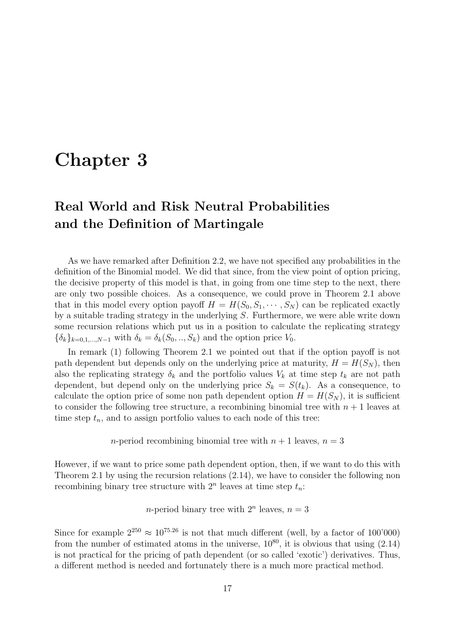# Chapter 3

## Real World and Risk Neutral Probabilities and the Definition of Martingale

As we have remarked after Definition 2.2, we have not specified any probabilities in the definition of the Binomial model. We did that since, from the view point of option pricing, the decisive property of this model is that, in going from one time step to the next, there are only two possible choices. As a consequence, we could prove in Theorem 2.1 above that in this model every option payoff  $H = H(S_0, S_1, \dots, S_N)$  can be replicated exactly by a suitable trading strategy in the underlying S. Furthermore, we were able write down some recursion relations which put us in a position to calculate the replicating strategy  $\{\delta_k\}_{k=0,1,\dots,N-1}$  with  $\delta_k = \delta_k(S_0, \dots, S_k)$  and the option price  $V_0$ .

In remark (1) following Theorem 2.1 we pointed out that if the option payoff is not path dependent but depends only on the underlying price at maturity,  $H = H(S_N)$ , then also the replicating strategy  $\delta_k$  and the portfolio values  $V_k$  at time step  $t_k$  are not path dependent, but depend only on the underlying price  $S_k = S(t_k)$ . As a consequence, to calculate the option price of some non path dependent option  $H = H(S_N)$ , it is sufficient to consider the following tree structure, a recombining binomial tree with  $n + 1$  leaves at time step  $t_n$ , and to assign portfolio values to each node of this tree:

*n*-period recombining binomial tree with  $n + 1$  leaves,  $n = 3$ 

However, if we want to price some path dependent option, then, if we want to do this with Theorem 2.1 by using the recursion relations (2.14), we have to consider the following non recombining binary tree structure with  $2^n$  leaves at time step  $t_n$ :

*n*-period binary tree with  $2^n$  leaves,  $n = 3$ 

Since for example  $2^{250} \approx 10^{75.26}$  is not that much different (well, by a factor of 100'000) from the number of estimated atoms in the universe,  $10^{80}$ , it is obvious that using  $(2.14)$ is not practical for the pricing of path dependent (or so called 'exotic') derivatives. Thus, a different method is needed and fortunately there is a much more practical method.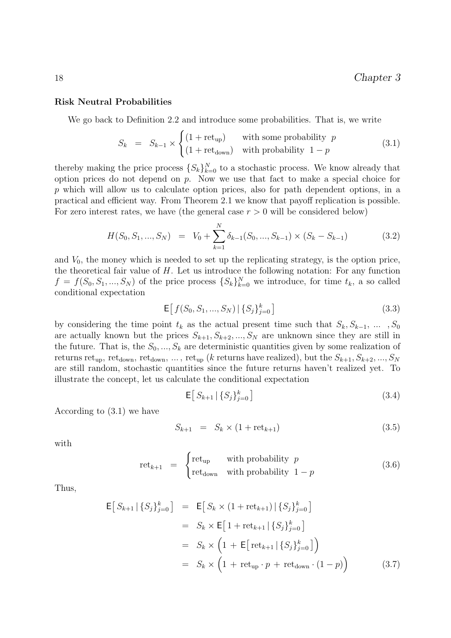#### Risk Neutral Probabilities

We go back to Definition 2.2 and introduce some probabilities. That is, we write

$$
S_k = S_{k-1} \times \begin{cases} (1 + \text{ret}_{\text{up}}) & \text{with some probability } p \\ (1 + \text{ret}_{\text{down}}) & \text{with probability } 1 - p \end{cases}
$$
(3.1)

thereby making the price process  $\{S_k\}_{k=0}^N$  to a stochastic process. We know already that option prices do not depend on p. Now we use that fact to make a special choice for p which will allow us to calculate option prices, also for path dependent options, in a practical and efficient way. From Theorem 2.1 we know that payoff replication is possible. For zero interest rates, we have (the general case  $r > 0$  will be considered below)

$$
H(S_0, S_1, ..., S_N) = V_0 + \sum_{k=1}^{N} \delta_{k-1}(S_0, ..., S_{k-1}) \times (S_k - S_{k-1})
$$
(3.2)

and  $V_0$ , the money which is needed to set up the replicating strategy, is the option price, the theoretical fair value of  $H$ . Let us introduce the following notation: For any function  $f = f(S_0, S_1, ..., S_N)$  of the price process  $\{S_k\}_{k=0}^N$  we introduce, for time  $t_k$ , a so called conditional expectation

$$
\mathsf{E}\big[\,f(S_0, S_1, \ldots, S_N) \,|\, \{S_j\}_{j=0}^k\,\big] \tag{3.3}
$$

by considering the time point  $t_k$  as the actual present time such that  $S_k, S_{k-1}, \ldots, S_0$ are actually known but the prices  $S_{k+1}, S_{k+2}, ..., S_N$  are unknown since they are still in the future. That is, the  $S_0, ..., S_k$  are deterministic quantities given by some realization of returns ret<sub>up</sub>, ret<sub>down</sub>, ret<sub>down</sub>, ..., ret<sub>up</sub> (k returns have realized), but the  $S_{k+1}, S_{k+2}, ..., S_N$ are still random, stochastic quantities since the future returns haven't realized yet. To illustrate the concept, let us calculate the conditional expectation

$$
\mathsf{E}\big[\,S_{k+1}\,|\,\{S_j\}_{j=0}^k\,\big]\tag{3.4}
$$

According to (3.1) we have

$$
S_{k+1} = S_k \times (1 + \text{ret}_{k+1}) \tag{3.5}
$$

with

$$
retk+1 = \begin{cases} retup & with probability p \\ retdown & with probability 1 - p \end{cases}
$$
 (3.6)

Thus,

$$
\mathsf{E}\big[S_{k+1} | \{S_j\}_{j=0}^k\big] = \mathsf{E}\big[S_k \times (1 + \text{ret}_{k+1}) | \{S_j\}_{j=0}^k\big]
$$
  
\n
$$
= S_k \times \mathsf{E}\big[1 + \text{ret}_{k+1} | \{S_j\}_{j=0}^k\big]
$$
  
\n
$$
= S_k \times \left(1 + \mathsf{E}\big[\text{ret}_{k+1} | \{S_j\}_{j=0}^k\big]\right)
$$
  
\n
$$
= S_k \times \left(1 + \text{ret}_{\text{up}} \cdot p + \text{ret}_{\text{down}} \cdot (1 - p)\right) \tag{3.7}
$$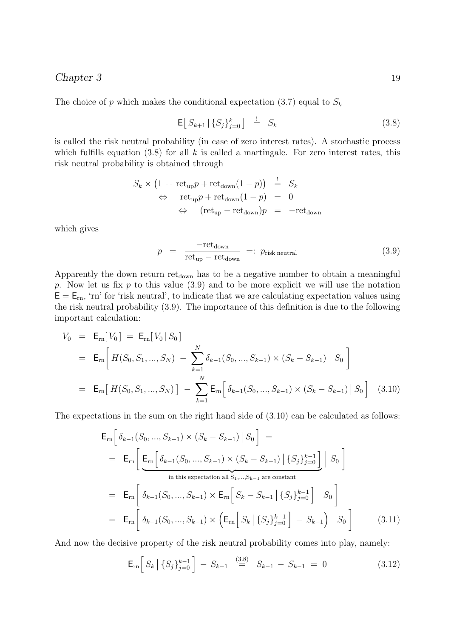The choice of p which makes the conditional expectation  $(3.7)$  equal to  $S_k$ 

$$
\mathsf{E}\big[\,S_{k+1}\,|\,\{S_j\}_{j=0}^k\,\big]\quad\stackrel{!}{=}\quad S_k\tag{3.8}
$$

is called the risk neutral probability (in case of zero interest rates). A stochastic process which fulfills equation  $(3.8)$  for all k is called a martingale. For zero interest rates, this risk neutral probability is obtained through

$$
S_k \times (1 + \text{ret}_{\text{up}}p + \text{ret}_{\text{down}}(1 - p)) \stackrel{!}{=} S_k
$$
  
\n
$$
\Leftrightarrow \text{ret}_{\text{up}}p + \text{ret}_{\text{down}}(1 - p) = 0
$$
  
\n
$$
\Leftrightarrow (\text{ret}_{\text{up}} - \text{ret}_{\text{down}})p = -\text{ret}_{\text{down}}
$$

which gives

$$
p = \frac{-\text{ret}_{\text{down}}}{\text{ret}_{\text{up}} - \text{ret}_{\text{down}}} =: p_{\text{risk neutral}} \tag{3.9}
$$

Apparently the down return ret<sub>down</sub> has to be a negative number to obtain a meaningful p. Now let us fix p to this value  $(3.9)$  and to be more explicit we will use the notation  $E = E_{rn}$ , 'rn' for 'risk neutral', to indicate that we are calculating expectation values using the risk neutral probability (3.9). The importance of this definition is due to the following important calculation:

$$
V_0 = \mathsf{E}_{\rm rn}[V_0] = \mathsf{E}_{\rm rn}[V_0|S_0]
$$
  
\n
$$
= \mathsf{E}_{\rm rn}\left[H(S_0, S_1, ..., S_N) - \sum_{k=1}^N \delta_{k-1}(S_0, ..., S_{k-1}) \times (S_k - S_{k-1}) \Big| S_0\right]
$$
  
\n
$$
= \mathsf{E}_{\rm rn}\left[H(S_0, S_1, ..., S_N)\right] - \sum_{k=1}^N \mathsf{E}_{\rm rn}\left[\delta_{k-1}(S_0, ..., S_{k-1}) \times (S_k - S_{k-1}) \Big| S_0\right] \quad (3.10)
$$

The expectations in the sum on the right hand side of (3.10) can be calculated as follows:

$$
\mathsf{E}_{\rm rn} \Big[ \delta_{k-1}(S_0, ..., S_{k-1}) \times (S_k - S_{k-1}) \Big| S_0 \Big] =
$$
\n
$$
= \mathsf{E}_{\rm rn} \Big[ \underbrace{\mathsf{E}_{\rm rn} \Big[ \delta_{k-1}(S_0, ..., S_{k-1}) \times (S_k - S_{k-1}) \Big| \{S_j\}_{j=0}^{k-1} \Big]}_{\text{in this expectation all } S_1, ..., S_{k-1} \text{ are constant}}
$$
\n
$$
= \mathsf{E}_{\rm rn} \Big[ \delta_{k-1}(S_0, ..., S_{k-1}) \times \mathsf{E}_{\rm rn} \Big[ S_k - S_{k-1} \Big| \{S_j\}_{j=0}^{k-1} \Big] \Big| S_0 \Big]
$$
\n
$$
= \mathsf{E}_{\rm rn} \Big[ \delta_{k-1}(S_0, ..., S_{k-1}) \times \Big( \mathsf{E}_{\rm rn} \Big[ S_k \Big| \{S_j\}_{j=0}^{k-1} \Big] - S_{k-1} \Big) \Big| S_0 \Big]
$$
\n(3.11)

And now the decisive property of the risk neutral probability comes into play, namely:

$$
\mathsf{E}_{\rm rn}\Big[S_k\,\big|\,\{S_j\}_{j=0}^{k-1}\Big] - S_{k-1} \stackrel{(3.8)}{=} S_{k-1} - S_{k-1} = 0 \tag{3.12}
$$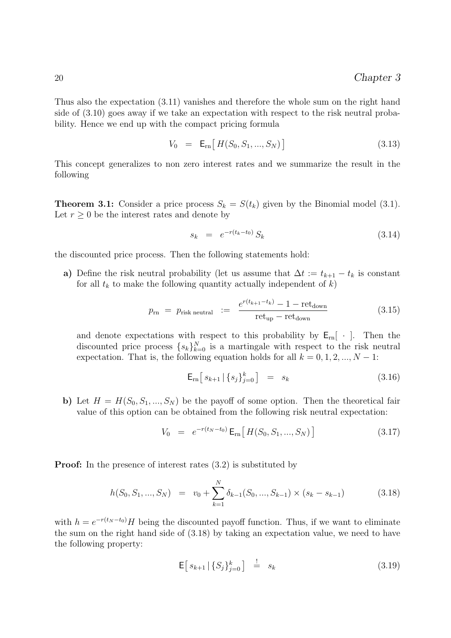Thus also the expectation (3.11) vanishes and therefore the whole sum on the right hand side of (3.10) goes away if we take an expectation with respect to the risk neutral probability. Hence we end up with the compact pricing formula

$$
V_0 = \mathsf{E}_{\rm rn} \big[ H(S_0, S_1, ..., S_N) \big] \tag{3.13}
$$

This concept generalizes to non zero interest rates and we summarize the result in the following

**Theorem 3.1:** Consider a price process  $S_k = S(t_k)$  given by the Binomial model (3.1). Let  $r \geq 0$  be the interest rates and denote by

$$
s_k = e^{-r(t_k - t_0)} S_k \tag{3.14}
$$

the discounted price process. Then the following statements hold:

a) Define the risk neutral probability (let us assume that  $\Delta t := t_{k+1} - t_k$  is constant for all  $t_k$  to make the following quantity actually independent of  $k$ )

$$
p_{\rm rn} = p_{\rm risk \; neutral} := \frac{e^{r(t_{k+1} - t_k)} - 1 - \text{ret}_{\rm down}}{\text{ret}_{\rm up} - \text{ret}_{\rm down}} \tag{3.15}
$$

and denote expectations with respect to this probability by  $E_{rn}$  [ $\cdot$ ]. Then the discounted price process  $\{s_k\}_{k=0}^N$  is a martingale with respect to the risk neutral expectation. That is, the following equation holds for all  $k = 0, 1, 2, ..., N - 1$ :

$$
\mathsf{E}_{\rm rn} \left[ \, s_{k+1} \, | \, \{ s_j \}_{j=0}^k \, \right] \quad = \quad s_k \tag{3.16}
$$

b) Let  $H = H(S_0, S_1, ..., S_N)$  be the payoff of some option. Then the theoretical fair value of this option can be obtained from the following risk neutral expectation:

$$
V_0 = e^{-r(t_N - t_0)} \mathbf{E}_{rn} \left[ H(S_0, S_1, ..., S_N) \right]
$$
 (3.17)

**Proof:** In the presence of interest rates  $(3.2)$  is substituted by

$$
h(S_0, S_1, ..., S_N) = v_0 + \sum_{k=1}^{N} \delta_{k-1}(S_0, ..., S_{k-1}) \times (s_k - s_{k-1})
$$
\n(3.18)

with  $h = e^{-r(t_N - t_0)}H$  being the discounted payoff function. Thus, if we want to eliminate the sum on the right hand side of (3.18) by taking an expectation value, we need to have the following property:

$$
\mathsf{E}\big[\,s_{k+1}\,|\,\{S_j\}_{j=0}^k\big]\quad\stackrel{!}{=} \quad s_k\tag{3.19}
$$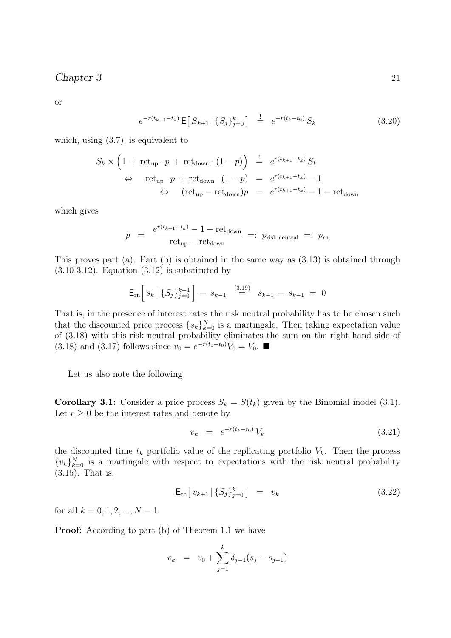or

 $e^{-r(t_{k+1}-t_0)} \mathsf{E}\big[\,S_{k+1}\,|\,\{S_j\}_{j=0}^k\big] \quad \stackrel{!}{=} \quad e^{-r(t_k-t_0)}\,S_k$  (3.20)

which, using (3.7), is equivalent to

$$
S_k \times \left(1 + \text{ret}_{\text{up}} \cdot p + \text{ret}_{\text{down}} \cdot (1 - p)\right) \stackrel{!}{=} e^{r(t_{k+1} - t_k)} S_k
$$
  
\n
$$
\Leftrightarrow \text{ret}_{\text{up}} \cdot p + \text{ret}_{\text{down}} \cdot (1 - p) = e^{r(t_{k+1} - t_k)} - 1
$$
  
\n
$$
\Leftrightarrow (\text{ret}_{\text{up}} - \text{ret}_{\text{down}})p = e^{r(t_{k+1} - t_k)} - 1 - \text{ret}_{\text{down}}
$$

which gives

$$
p = \frac{e^{r(t_{k+1} - t_k)} - 1 - \text{ret}_{\text{down}}}{\text{ret}_{\text{up}} - \text{ret}_{\text{down}}} =: p_{\text{risk neutral}} =: p_{\text{rn}}
$$

This proves part (a). Part (b) is obtained in the same way as (3.13) is obtained through  $(3.10-3.12)$ . Equation  $(3.12)$  is substituted by

$$
\mathsf{E}_{\mathrm{rn}}\Big[\,s_k\,\big|\,\{S_j\}_{j=0}^{k-1}\,\Big]\,-\,s_{k-1}\quad\overset{(3.19)}{=}\quad s_{k-1}\,-\,s_{k-1}\,=\,0
$$

That is, in the presence of interest rates the risk neutral probability has to be chosen such that the discounted price process  $\{s_k\}_{k=0}^N$  is a martingale. Then taking expectation value of (3.18) with this risk neutral probability eliminates the sum on the right hand side of (3.18) and (3.17) follows since  $v_0 = e^{-r(t_0 - t_0)} V_0 = V_0$ . ■

Let us also note the following

**Corollary 3.1:** Consider a price process  $S_k = S(t_k)$  given by the Binomial model (3.1). Let  $r \geq 0$  be the interest rates and denote by

$$
v_k = e^{-r(t_k - t_0)} V_k \tag{3.21}
$$

the discounted time  $t_k$  portfolio value of the replicating portfolio  $V_k$ . Then the process  $\{v_k\}_{k=0}^N$  is a martingale with respect to expectations with the risk neutral probability (3.15). That is,

$$
\mathsf{E}_{\rm rn} \big[ v_{k+1} \, | \, \{ S_j \}_{j=0}^k \big] \quad = \quad v_k \tag{3.22}
$$

for all  $k = 0, 1, 2, ..., N - 1$ .

**Proof:** According to part (b) of Theorem 1.1 we have

$$
v_k = v_0 + \sum_{j=1}^k \delta_{j-1}(s_j - s_{j-1})
$$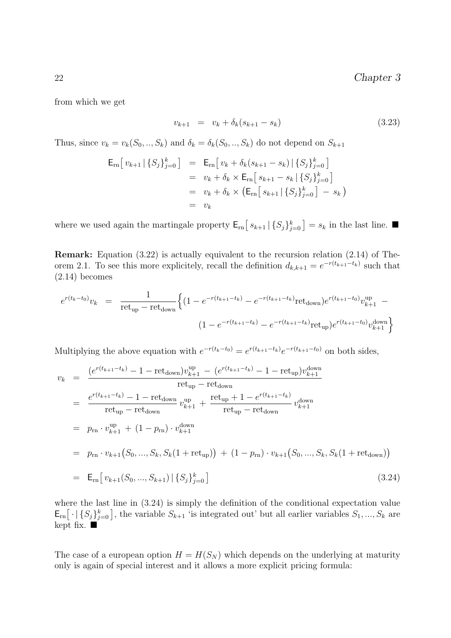from which we get

$$
v_{k+1} = v_k + \delta_k (s_{k+1} - s_k) \tag{3.23}
$$

Thus, since  $v_k = v_k(S_0, ..., S_k)$  and  $\delta_k = \delta_k(S_0, ..., S_k)$  do not depend on  $S_{k+1}$ 

$$
\begin{array}{rcl}\n\mathsf{E}_{\rm rn} \big[ v_{k+1} \, | \, \{ S_j \}_{j=0}^k \big] & = & \mathsf{E}_{\rm rn} \big[ v_k + \delta_k (s_{k+1} - s_k) \, | \, \{ S_j \}_{j=0}^k \big] \\
& = & v_k + \delta_k \times \mathsf{E}_{\rm rn} \big[ s_{k+1} - s_k \, | \, \{ S_j \}_{j=0}^k \big] \\
& = & v_k + \delta_k \times \big( \mathsf{E}_{\rm rn} \big[ s_{k+1} \, | \, \{ S_j \}_{j=0}^k \big] \, - \, s_k \big) \\
& = & v_k\n\end{array}
$$

where we used again the martingale property  $\mathsf{E}_{\text{rn}}[s_{k+1} | \{S_j\}_{j=0}^k] = s_k$  in the last line.

Remark: Equation (3.22) is actually equivalent to the recursion relation (2.14) of Theorem 2.1. To see this more explicitely, recall the definition  $d_{k,k+1} = e^{-r(t_{k+1}-t_k)}$  such that  $(2.14)$  becomes

$$
e^{r(t_k-t_0)}v_k = \frac{1}{\text{ret}_{\text{up}} - \text{ret}_{\text{down}}} \left\{ (1 - e^{-r(t_{k+1}-t_k)} - e^{-r(t_{k+1}-t_k)} \text{ret}_{\text{down}}) e^{r(t_{k+1}-t_0)} v_{k+1}^{\text{up}} - \right. \\
 \left. (1 - e^{-r(t_{k+1}-t_k)} - e^{-r(t_{k+1}-t_k)} \text{ret}_{\text{up}}) e^{r(t_{k+1}-t_0)} v_{k+1}^{\text{down}} \right\}
$$

Multiplying the above equation with  $e^{-r(t_k-t_0)} = e^{r(t_{k+1}-t_k)}e^{-r(t_{k+1}-t_0)}$  on both sides,

$$
v_k = \frac{(e^{r(t_{k+1}-t_k)} - 1 - \text{ret}_{down})v_{k+1}^{up} - (e^{r(t_{k+1}-t_k)} - 1 - \text{ret}_{up})v_{k+1}^{down}}{\text{ret}_{up} - \text{ret}_{down}}
$$
  
\n
$$
= \frac{e^{r(t_{k+1}-t_k)} - 1 - \text{ret}_{down}}{\text{ret}_{up} - \text{ret}_{down}} v_{k+1}^{up} + \frac{\text{ret}_{up} + 1 - e^{r(t_{k+1}-t_k)}}{\text{ret}_{up} - \text{ret}_{down}} v_{k+1}^{down}}{v_{k+1}^{down}}
$$
  
\n
$$
= p_{rn} \cdot v_{k+1}^{up} + (1 - p_{rn}) \cdot v_{k+1}^{down}
$$
  
\n
$$
= p_{rn} \cdot v_{k+1} (S_0, ..., S_k, S_k(1 + \text{ret}_{up})) + (1 - p_{rn}) \cdot v_{k+1} (S_0, ..., S_k, S_k(1 + \text{ret}_{down}))
$$
  
\n
$$
= E_{rn} [v_{k+1}(S_0, ..., S_{k+1}) | \{S_j\}_{j=0}^k]
$$
  
\n(3.24)

where the last line in (3.24) is simply the definition of the conditional expectation value  $\mathsf{E}_{rn}\big[\cdot | \{S_j\}_{j=0}^k\big]$ , the variable  $S_{k+1}$  'is integrated out' but all earlier variables  $S_1, ..., S_k$  are kept fix.  $\blacksquare$ 

The case of a european option  $H = H(S_N)$  which depends on the underlying at maturity only is again of special interest and it allows a more explicit pricing formula: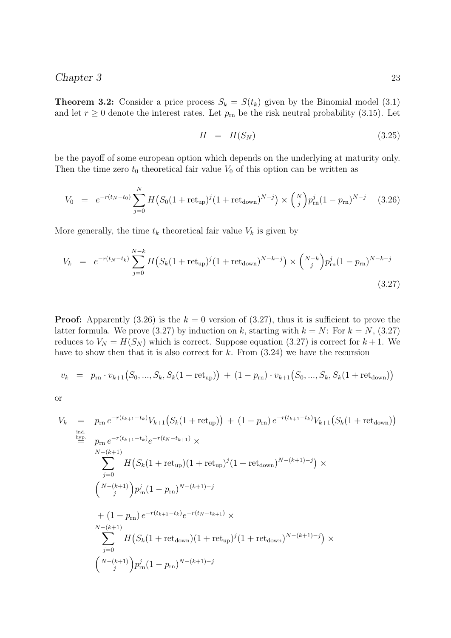**Theorem 3.2:** Consider a price process  $S_k = S(t_k)$  given by the Binomial model (3.1) and let  $r \geq 0$  denote the interest rates. Let  $p_{\rm rn}$  be the risk neutral probability (3.15). Let

$$
H = H(S_N) \tag{3.25}
$$

be the payoff of some european option which depends on the underlying at maturity only. Then the time zero  $t_0$  theoretical fair value  $V_0$  of this option can be written as

$$
V_0 = e^{-r(t_N - t_0)} \sum_{j=0}^{N} H(S_0(1 + \text{ret}_{\text{up}})^j (1 + \text{ret}_{\text{down}})^{N-j}) \times {N \choose j} p_{\text{rn}}^j (1 - p_{\text{rn}})^{N-j} \quad (3.26)
$$

More generally, the time  $t_k$  theoretical fair value  $V_k$  is given by

$$
V_k = e^{-r(t_N - t_k)} \sum_{j=0}^{N-k} H(S_k(1 + \text{ret}_{\text{up}})^j (1 + \text{ret}_{\text{down}})^{N-k-j}) \times {N-k \choose j} p_{\text{rn}}^j (1 - p_{\text{rn}})^{N-k-j}
$$
\n(3.27)

**Proof:** Apparently (3.26) is the  $k = 0$  version of (3.27), thus it is sufficient to prove the latter formula. We prove (3.27) by induction on k, starting with  $k = N$ : For  $k = N$ , (3.27) reduces to  $V_N = H(S_N)$  which is correct. Suppose equation (3.27) is correct for  $k + 1$ . We have to show then that it is also correct for  $k$ . From  $(3.24)$  we have the recursion

$$
v_k = p_{\rm rn} \cdot v_{k+1}(S_0, ..., S_k, S_k(1 + {\rm ret}_{\rm up})) + (1 - p_{\rm rn}) \cdot v_{k+1}(S_0, ..., S_k, S_k(1 + {\rm ret}_{\rm down}))
$$

or

$$
V_k = p_{\rm rn} e^{-r(t_{k+1}-t_k)} V_{k+1} (S_k (1 + {\rm ret}_{\rm up})) + (1 - p_{\rm rn}) e^{-r(t_{k+1}-t_k)} V_{k+1} (S_k (1 + {\rm ret}_{\rm down}))
$$
  
\n
$$
\stackrel{\text{ind.}}{=} p_{\rm rn} e^{-r(t_{k+1}-t_k)} e^{-r(t_N - t_{k+1})} \times
$$
  
\n
$$
\sum_{j=0}^{N-(k+1)} H (S_k (1 + {\rm ret}_{\rm up}) (1 + {\rm ret}_{\rm up})^j (1 + {\rm ret}_{\rm down})^{N-(k+1)-j} ) \times
$$
  
\n
$$
{N-(k+1) \choose j} p_{\rm rn}^j (1 - p_{\rm rn})^{N-(k+1)-j}
$$
  
\n
$$
+ (1 - p_{\rm rn}) e^{-r(t_{k+1}-t_k)} e^{-r(t_N - t_{k+1})} \times
$$
  
\n
$$
\sum_{j=0}^{N-(k+1)} H (S_k (1 + {\rm ret}_{\rm down}) (1 + {\rm ret}_{\rm up})^j (1 + {\rm ret}_{\rm down})^{N-(k+1)-j} ) \times
$$
  
\n
$$
{N-(k+1) \choose j} p_{\rm rn}^j (1 - p_{\rm rn})^{N-(k+1)-j}
$$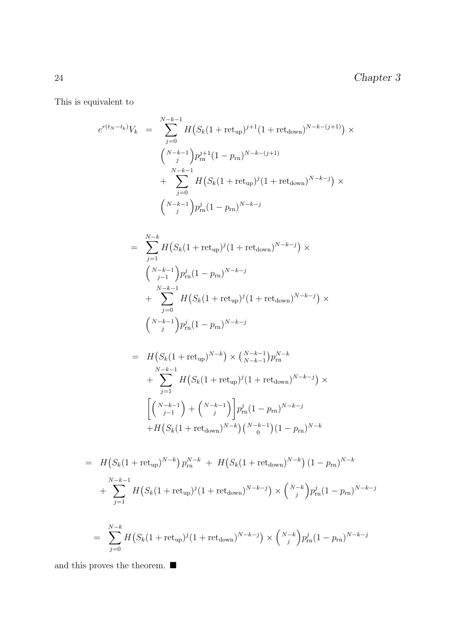This is equivalent to

$$
e^{r(t_N - t_k)} V_k = \sum_{j=0}^{N-k-1} H(S_k(1 + \text{ret}_{\text{up}})^{j+1} (1 + \text{ret}_{\text{down}})^{N-k-(j+1)}) \times
$$
  

$$
\left(\begin{array}{c} N-k-1 \\ j \end{array}\right) p_{\text{rn}}^{j+1} (1 - p_{\text{rn}})^{N-k-(j+1)}
$$
  

$$
+ \sum_{j=0}^{N-k-1} H(S_k(1 + \text{ret}_{\text{up}})^j (1 + \text{ret}_{\text{down}})^{N-k-j}) \times
$$
  

$$
\left(\begin{array}{c} N-k-1 \\ j \end{array}\right) p_{\text{rn}}^j (1 - p_{\text{rn}})^{N-k-j}
$$

$$
= \sum_{j=1}^{N-k} H(S_k(1 + \text{ret}_{\text{up}})^j (1 + \text{ret}_{\text{down}})^{N-k-j}) \times
$$
  

$$
{N-k-1 \choose j-1} p_{\text{rn}}^j (1 - p_{\text{rn}})^{N-k-j}
$$
  

$$
+ \sum_{j=0}^{N-k-1} H(S_k(1 + \text{ret}_{\text{up}})^j (1 + \text{ret}_{\text{down}})^{N-k-j}) \times
$$
  

$$
{N-k-1 \choose j} p_{\text{rn}}^j (1 - p_{\text{rn}})^{N-k-j}
$$

$$
= H(S_k(1 + ret_{up})^{N-k}) \times {N-k-1 \choose N-k-1} p_n^{N-k}
$$
  
+ 
$$
\sum_{j=1}^{N-k-1} H(S_k(1 + ret_{up})^j (1 + ret_{down})^{N-k-j}) \times
$$
  

$$
\left[{N-k-1 \choose j-1} + {N-k-1 \choose j} p_m^j (1 - p_{rn})^{N-k-j} + H(S_k(1 + ret_{down})^{N-k}) {N-k-1 \choose 0} (1 - p_{rn})^{N-k}
$$

$$
= H(S_k(1 + \text{ret}_{\text{up}})^{N-k}) p_{\text{rn}}^{N-k} + H(S_k(1 + \text{ret}_{\text{down}})^{N-k}) (1 - p_{\text{rn}})^{N-k}
$$
  
+ 
$$
\sum_{j=1}^{N-k-1} H(S_k(1 + \text{ret}_{\text{up}})^j (1 + \text{ret}_{\text{down}})^{N-k-j}) \times {N-k \choose j} p_{\text{rn}}^j (1 - p_{\text{rn}})^{N-k-j}
$$
  
= 
$$
\sum_{j=0}^{N-k} H(S_k(1 + \text{ret}_{\text{up}})^j (1 + \text{ret}_{\text{down}})^{N-k-j}) \times {N-k \choose j} p_{\text{rn}}^j (1 - p_{\text{rn}})^{N-k-j}
$$

and this proves the theorem.  $\blacksquare$